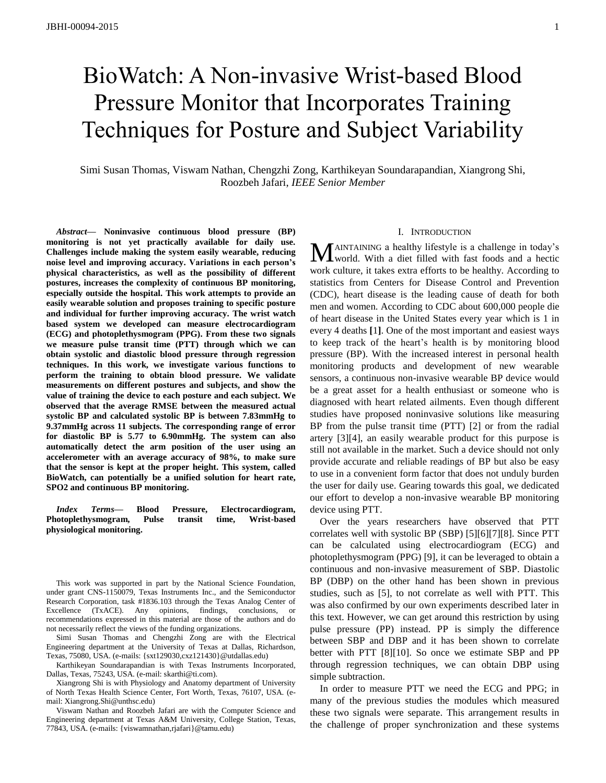# BioWatch: A Non-invasive Wrist-based Blood Pressure Monitor that Incorporates Training Techniques for Posture and Subject Variability

Simi Susan Thomas, Viswam Nathan, Chengzhi Zong, Karthikeyan Soundarapandian, Xiangrong Shi, Roozbeh Jafari, *IEEE Senior Member*

*Abstract***— Noninvasive continuous blood pressure (BP) monitoring is not yet practically available for daily use. Challenges include making the system easily wearable, reducing noise level and improving accuracy. Variations in each person's physical characteristics, as well as the possibility of different postures, increases the complexity of continuous BP monitoring, especially outside the hospital. This work attempts to provide an easily wearable solution and proposes training to specific posture and individual for further improving accuracy. The wrist watch based system we developed can measure electrocardiogram (ECG) and photoplethysmogram (PPG). From these two signals we measure pulse transit time (PTT) through which we can obtain systolic and diastolic blood pressure through regression techniques. In this work, we investigate various functions to perform the training to obtain blood pressure. We validate measurements on different postures and subjects, and show the value of training the device to each posture and each subject. We observed that the average RMSE between the measured actual systolic BP and calculated systolic BP is between 7.83mmHg to 9.37mmHg across 11 subjects. The corresponding range of error for diastolic BP is 5.77 to 6.90mmHg. The system can also automatically detect the arm position of the user using an accelerometer with an average accuracy of 98%, to make sure that the sensor is kept at the proper height. This system, called BioWatch, can potentially be a unified solution for heart rate, SPO2 and continuous BP monitoring.**

*Index Terms***— Blood Pressure, Electrocardiogram, Photoplethysmogram, Pulse transit time, Wrist-based physiological monitoring.**

This work was supported in part by the National Science Foundation, under grant CNS-1150079, Texas Instruments Inc., and the Semiconductor Research Corporation, task #1836.103 through the Texas Analog Center of Excellence (TxACE). Any opinions, findings, conclusions, or recommendations expressed in this material are those of the authors and do not necessarily reflect the views of the funding organizations.

Simi Susan Thomas and Chengzhi Zong are with the Electrical Engineering department at the University of Texas at Dallas, Richardson, Texas, 75080, USA. (e-mails: {sxt129030,cxz121430}@utdallas.edu)

Karthikeyan Soundarapandian is with Texas Instruments Incorporated, Dallas, Texas, 75243, USA. (e-mail: skarthi@ti.com).

Xiangrong Shi is with Physiology and Anatomy department of University of North Texas Health Science Center, Fort Worth, Texas, 76107, USA. (email: Xiangrong.Shi@unthsc.edu)

Viswam Nathan and Roozbeh Jafari are with the Computer Science and Engineering department at Texas A&M University, College Station, Texas, 77843, USA. (e-mails: {viswamnathan,rjafari}@tamu.edu)

# I. INTRODUCTION

AINTAINING a healthy lifestyle is a challenge in today's MAINTAINING a healthy lifestyle is a challenge in today's world. With a diet filled with fast foods and a hectic work culture, it takes extra efforts to be healthy. According to statistics from Centers for Disease Control and Prevention (CDC), heart disease is the leading cause of death for both men and women. According to CDC about 600,000 people die of heart disease in the United States every year which is 1 in every 4 deaths **[**1**]**. One of the most important and easiest ways to keep track of the heart's health is by monitoring blood pressure (BP). With the increased interest in personal health monitoring products and development of new wearable sensors, a continuous non-invasive wearable BP device would be a great asset for a health enthusiast or someone who is diagnosed with heart related ailments. Even though different studies have proposed noninvasive solutions like measuring BP from the pulse transit time (PTT) [2] or from the radial artery [3][4], an easily wearable product for this purpose is still not available in the market. Such a device should not only provide accurate and reliable readings of BP but also be easy to use in a convenient form factor that does not unduly burden the user for daily use. Gearing towards this goal, we dedicated our effort to develop a non-invasive wearable BP monitoring device using PTT.

Over the years researchers have observed that PTT correlates well with systolic BP (SBP) [5][6][7][8]. Since PTT can be calculated using electrocardiogram (ECG) and photoplethysmogram (PPG) [9], it can be leveraged to obtain a continuous and non-invasive measurement of SBP. Diastolic BP (DBP) on the other hand has been shown in previous studies, such as [5], to not correlate as well with PTT. This was also confirmed by our own experiments described later in this text. However, we can get around this restriction by using pulse pressure (PP) instead. PP is simply the difference between SBP and DBP and it has been shown to correlate better with PTT [8][10]. So once we estimate SBP and PP through regression techniques, we can obtain DBP using simple subtraction.

In order to measure PTT we need the ECG and PPG; in many of the previous studies the modules which measured these two signals were separate. This arrangement results in the challenge of proper synchronization and these systems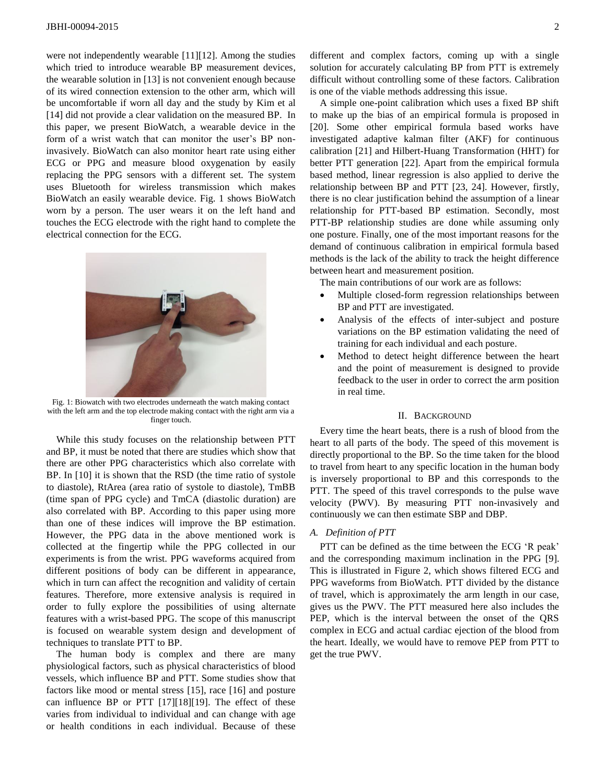were not independently wearable [11][12]. Among the studies which tried to introduce wearable BP measurement devices, the wearable solution in [13] is not convenient enough because of its wired connection extension to the other arm, which will be uncomfortable if worn all day and the study by Kim et al [14] did not provide a clear validation on the measured BP. In this paper, we present BioWatch, a wearable device in the form of a wrist watch that can monitor the user's BP noninvasively. BioWatch can also monitor heart rate using either ECG or PPG and measure blood oxygenation by easily replacing the PPG sensors with a different set. The system uses Bluetooth for wireless transmission which makes BioWatch an easily wearable device. Fig. 1 shows BioWatch worn by a person. The user wears it on the left hand and touches the ECG electrode with the right hand to complete the electrical connection for the ECG.



Fig. 1: Biowatch with two electrodes underneath the watch making contact with the left arm and the top electrode making contact with the right arm via a finger touch.

While this study focuses on the relationship between PTT and BP, it must be noted that there are studies which show that there are other PPG characteristics which also correlate with BP. In [10] it is shown that the RSD (the time ratio of systole to diastole), RtArea (area ratio of systole to diastole), TmBB (time span of PPG cycle) and TmCA (diastolic duration) are also correlated with BP. According to this paper using more than one of these indices will improve the BP estimation. However, the PPG data in the above mentioned work is collected at the fingertip while the PPG collected in our experiments is from the wrist. PPG waveforms acquired from different positions of body can be different in appearance, which in turn can affect the recognition and validity of certain features. Therefore, more extensive analysis is required in order to fully explore the possibilities of using alternate features with a wrist-based PPG. The scope of this manuscript is focused on wearable system design and development of techniques to translate PTT to BP.

The human body is complex and there are many physiological factors, such as physical characteristics of blood vessels, which influence BP and PTT. Some studies show that factors like mood or mental stress [15], race [16] and posture can influence BP or PTT [17][18][19]. The effect of these varies from individual to individual and can change with age or health conditions in each individual. Because of these different and complex factors, coming up with a single solution for accurately calculating BP from PTT is extremely difficult without controlling some of these factors. Calibration is one of the viable methods addressing this issue.

A simple one-point calibration which uses a fixed BP shift to make up the bias of an empirical formula is proposed in [20]. Some other empirical formula based works have investigated adaptive kalman filter (AKF) for continuous calibration [21] and Hilbert-Huang Transformation (HHT) for better PTT generation [22]. Apart from the empirical formula based method, linear regression is also applied to derive the relationship between BP and PTT [23, 24]. However, firstly, there is no clear justification behind the assumption of a linear relationship for PTT-based BP estimation. Secondly, most PTT-BP relationship studies are done while assuming only one posture. Finally, one of the most important reasons for the demand of continuous calibration in empirical formula based methods is the lack of the ability to track the height difference between heart and measurement position.

The main contributions of our work are as follows:

- Multiple closed-form regression relationships between BP and PTT are investigated.
- Analysis of the effects of inter-subject and posture variations on the BP estimation validating the need of training for each individual and each posture.
- Method to detect height difference between the heart and the point of measurement is designed to provide feedback to the user in order to correct the arm position in real time.

### II. BACKGROUND

Every time the heart beats, there is a rush of blood from the heart to all parts of the body. The speed of this movement is directly proportional to the BP. So the time taken for the blood to travel from heart to any specific location in the human body is inversely proportional to BP and this corresponds to the PTT. The speed of this travel corresponds to the pulse wave velocity (PWV). By measuring PTT non-invasively and continuously we can then estimate SBP and DBP.

## *A. Definition of PTT*

PTT can be defined as the time between the ECG 'R peak' and the corresponding maximum inclination in the PPG [9]. This is illustrated in Figure 2, which shows filtered ECG and PPG waveforms from BioWatch. PTT divided by the distance of travel, which is approximately the arm length in our case, gives us the PWV. The PTT measured here also includes the PEP, which is the interval between the onset of the QRS complex in ECG and actual cardiac ejection of the blood from the heart. Ideally, we would have to remove PEP from PTT to get the true PWV.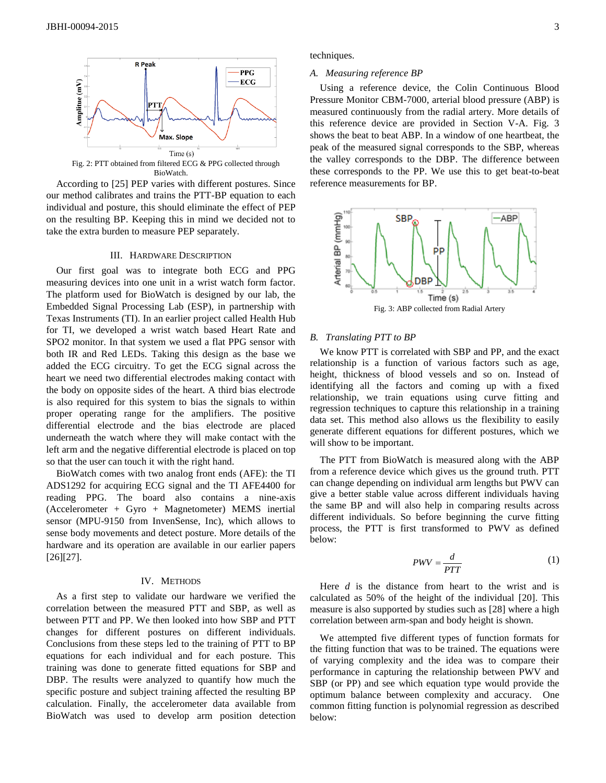

According to [25] PEP varies with different postures. Since our method calibrates and trains the PTT-BP equation to each individual and posture, this should eliminate the effect of PEP on the resulting BP. Keeping this in mind we decided not to take the extra burden to measure PEP separately.

### III. HARDWARE DESCRIPTION

Our first goal was to integrate both ECG and PPG measuring devices into one unit in a wrist watch form factor. The platform used for BioWatch is designed by our lab, the Embedded Signal Processing Lab (ESP), in partnership with Texas Instruments (TI). In an earlier project called Health Hub for TI, we developed a wrist watch based Heart Rate and SPO2 monitor. In that system we used a flat PPG sensor with both IR and Red LEDs. Taking this design as the base we added the ECG circuitry. To get the ECG signal across the heart we need two differential electrodes making contact with the body on opposite sides of the heart. A third bias electrode is also required for this system to bias the signals to within proper operating range for the amplifiers. The positive differential electrode and the bias electrode are placed underneath the watch where they will make contact with the left arm and the negative differential electrode is placed on top so that the user can touch it with the right hand.

BioWatch comes with two analog front ends (AFE): the TI ADS1292 for acquiring ECG signal and the TI AFE4400 for reading PPG. The board also contains a nine-axis (Accelerometer + Gyro + Magnetometer) MEMS inertial sensor (MPU-9150 from InvenSense, Inc), which allows to sense body movements and detect posture. More details of the hardware and its operation are available in our earlier papers [26][27].

#### IV. METHODS

As a first step to validate our hardware we verified the correlation between the measured PTT and SBP, as well as between PTT and PP. We then looked into how SBP and PTT changes for different postures on different individuals. Conclusions from these steps led to the training of PTT to BP equations for each individual and for each posture. This training was done to generate fitted equations for SBP and DBP. The results were analyzed to quantify how much the specific posture and subject training affected the resulting BP calculation. Finally, the accelerometer data available from BioWatch was used to develop arm position detection

techniques.

## *A. Measuring reference BP*

Using a reference device, the Colin Continuous Blood Pressure Monitor CBM-7000, arterial blood pressure (ABP) is measured continuously from the radial artery. More details of this reference device are provided in Section V-A. Fig. 3 shows the beat to beat ABP. In a window of one heartbeat, the peak of the measured signal corresponds to the SBP, whereas the valley corresponds to the DBP. The difference between these corresponds to the PP. We use this to get beat-to-beat reference measurements for BP.



# *B. Translating PTT to BP*

We know PTT is correlated with SBP and PP, and the exact relationship is a function of various factors such as age, height, thickness of blood vessels and so on. Instead of identifying all the factors and coming up with a fixed relationship, we train equations using curve fitting and regression techniques to capture this relationship in a training data set. This method also allows us the flexibility to easily generate different equations for different postures, which we will show to be important.

The PTT from BioWatch is measured along with the ABP from a reference device which gives us the ground truth. PTT can change depending on individual arm lengths but PWV can give a better stable value across different individuals having the same BP and will also help in comparing results across different individuals. So before beginning the curve fitting process, the PTT is first transformed to PWV as defined below:

$$
PWV = \frac{d}{PTT} \tag{1}
$$

Here *d* is the distance from heart to the wrist and is calculated as 50% of the height of the individual [20]. This measure is also supported by studies such as [28] where a high correlation between arm-span and body height is shown.

We attempted five different types of function formats for the fitting function that was to be trained. The equations were of varying complexity and the idea was to compare their performance in capturing the relationship between PWV and SBP (or PP) and see which equation type would provide the optimum balance between complexity and accuracy. One common fitting function is polynomial regression as described below: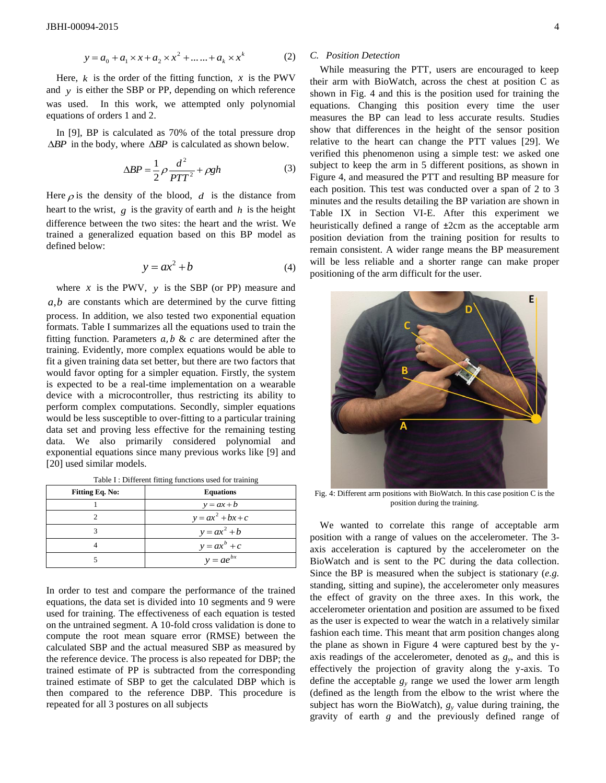$$
y = a_0 + a_1 \times x + a_2 \times x^2 + \dots + a_k \times x^k
$$
 (2)

Here,  $k$  is the order of the fitting function,  $x$  is the PWV and *y* is either the SBP or PP, depending on which reference was used. In this work, we attempted only polynomial equations of orders 1 and 2.

In [9], BP is calculated as 70% of the total pressure drop  $\triangle BP$  in the body, where  $\triangle BP$  is calculated as shown below.

$$
\Delta BP = \frac{1}{2}\rho \frac{d^2}{PTT^2} + \rho gh \tag{3}
$$

Here  $\rho$  is the density of the blood,  $d$  is the distance from heart to the wrist,  $g$  is the gravity of earth and  $h$  is the height difference between the two sites: the heart and the wrist. We trained a generalized equation based on this BP model as defined below:

$$
y = ax^2 + b \tag{4}
$$

where  $x$  is the PWV,  $y$  is the SBP (or PP) measure and *a*,*b* are constants which are determined by the curve fitting process. In addition, we also tested two exponential equation formats. Table I summarizes all the equations used to train the fitting function. Parameters  $a, b \& c$  are determined after the training. Evidently, more complex equations would be able to fit a given training data set better, but there are two factors that would favor opting for a simpler equation. Firstly, the system is expected to be a real-time implementation on a wearable device with a microcontroller, thus restricting its ability to perform complex computations. Secondly, simpler equations would be less susceptible to over-fitting to a particular training data set and proving less effective for the remaining testing data. We also primarily considered polynomial and exponential equations since many previous works like [9] and [20] used similar models.

Table I : Different fitting functions used for training

| <b>Fitting Eq. No:</b> | <b>Equations</b>    |  |  |
|------------------------|---------------------|--|--|
|                        | $y = ax + b$        |  |  |
|                        | $y = ax^2 + bx + c$ |  |  |
|                        | $y = ax^2 + b$      |  |  |
|                        | $y = ax^b + c$      |  |  |
|                        | $y = ae^{bx}$       |  |  |

In order to test and compare the performance of the trained equations, the data set is divided into 10 segments and 9 were used for training. The effectiveness of each equation is tested on the untrained segment. A 10-fold cross validation is done to compute the root mean square error (RMSE) between the calculated SBP and the actual measured SBP as measured by the reference device. The process is also repeated for DBP; the trained estimate of PP is subtracted from the corresponding trained estimate of SBP to get the calculated DBP which is then compared to the reference DBP. This procedure is repeated for all 3 postures on all subjects

# *C. Position Detection*

While measuring the PTT, users are encouraged to keep their arm with BioWatch, across the chest at position C as shown in Fig. 4 and this is the position used for training the equations. Changing this position every time the user measures the BP can lead to less accurate results. Studies show that differences in the height of the sensor position relative to the heart can change the PTT values [29]. We verified this phenomenon using a simple test: we asked one subject to keep the arm in 5 different positions, as shown in Figure 4, and measured the PTT and resulting BP measure for each position. This test was conducted over a span of 2 to 3 minutes and the results detailing the BP variation are shown in Table IX in Section VI-E. After this experiment we heuristically defined a range of ±2cm as the acceptable arm position deviation from the training position for results to remain consistent. A wider range means the BP measurement will be less reliable and a shorter range can make proper positioning of the arm difficult for the user.



Fig. 4: Different arm positions with BioWatch. In this case position C is the position during the training.

We wanted to correlate this range of acceptable arm position with a range of values on the accelerometer. The 3 axis acceleration is captured by the accelerometer on the BioWatch and is sent to the PC during the data collection. Since the BP is measured when the subject is stationary (*e.g.* standing, sitting and supine), the accelerometer only measures the effect of gravity on the three axes. In this work, the accelerometer orientation and position are assumed to be fixed as the user is expected to wear the watch in a relatively similar fashion each time. This meant that arm position changes along the plane as shown in Figure 4 were captured best by the yaxis readings of the accelerometer, denoted as  $g_y$ , and this is effectively the projection of gravity along the y-axis. To define the acceptable  $g<sub>y</sub>$  range we used the lower arm length (defined as the length from the elbow to the wrist where the subject has worn the BioWatch),  $g_y$  value during training, the gravity of earth *g* and the previously defined range of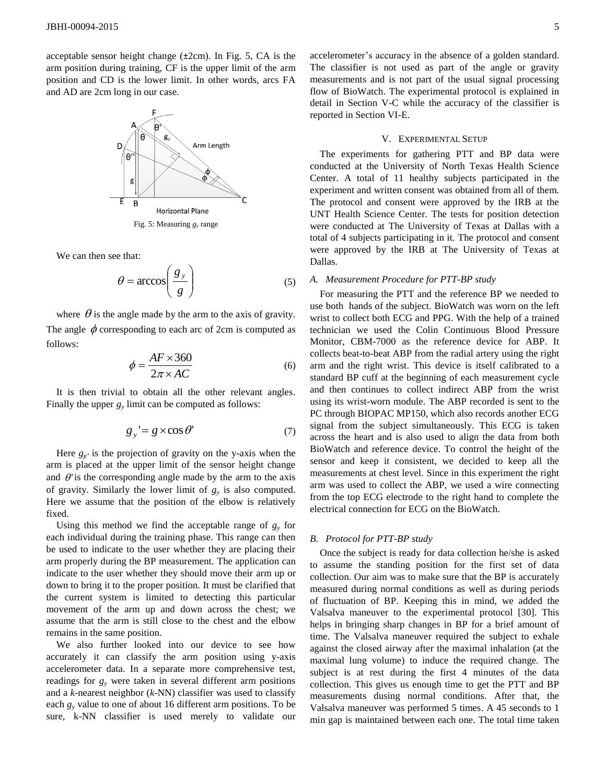acceptable sensor height change (±2cm). In Fig. 5, CA is the arm position during training, CF is the upper limit of the arm position and CD is the lower limit. In other words, arcs FA and AD are 2cm long in our case.



Fig. 5: Measuring *g<sup>y</sup>* range

We can then see that:

$$
\theta = \arccos\left(\frac{g_y}{g}\right) \tag{5}
$$

where  $\theta$  is the angle made by the arm to the axis of gravity. The angle  $\phi$  corresponding to each arc of 2cm is computed as follows:

$$
\phi = \frac{AF \times 360}{2\pi \times AC} \tag{6}
$$

It is then trivial to obtain all the other relevant angles. Finally the upper  $g<sub>y</sub>$  limit can be computed as follows:

$$
g_y = g \times \cos \theta' \tag{7}
$$

Here  $g_y$  is the projection of gravity on the y-axis when the arm is placed at the upper limit of the sensor height change and  $\theta$  is the corresponding angle made by the arm to the axis of gravity. Similarly the lower limit of  $g<sub>y</sub>$  is also computed. Here we assume that the position of the elbow is relatively fixed.

Using this method we find the acceptable range of  $g_y$  for each individual during the training phase. This range can then be used to indicate to the user whether they are placing their arm properly during the BP measurement. The application can indicate to the user whether they should move their arm up or down to bring it to the proper position. It must be clarified that the current system is limited to detecting this particular movement of the arm up and down across the chest; we assume that the arm is still close to the chest and the elbow remains in the same position.

We also further looked into our device to see how accurately it can classify the arm position using y-axis accelerometer data. In a separate more comprehensive test, readings for  $g_y$  were taken in several different arm positions and a *k*-nearest neighbor (*k*-NN) classifier was used to classify each *g<sup>y</sup>* value to one of about 16 different arm positions. To be sure, k-NN classifier is used merely to validate our accelerometer's accuracy in the absence of a golden standard. The classifier is not used as part of the angle or gravity measurements and is not part of the usual signal processing flow of BioWatch. The experimental protocol is explained in detail in Section V-C while the accuracy of the classifier is reported in Section VI-E.

## V. EXPERIMENTAL SETUP

The experiments for gathering PTT and BP data were conducted at the University of North Texas Health Science Center. A total of 11 healthy subjects participated in the experiment and written consent was obtained from all of them. The protocol and consent were approved by the IRB at the UNT Health Science Center. The tests for position detection were conducted at The University of Texas at Dallas with a total of 4 subjects participating in it. The protocol and consent were approved by the IRB at The University of Texas at Dallas.

# *A. Measurement Procedure for PTT-BP study*

For measuring the PTT and the reference BP we needed to use both hands of the subject. BioWatch was worn on the left wrist to collect both ECG and PPG. With the help of a trained technician we used the Colin Continuous Blood Pressure Monitor, CBM-7000 as the reference device for ABP. It collects beat-to-beat ABP from the radial artery using the right arm and the right wrist. This device is itself calibrated to a standard BP cuff at the beginning of each measurement cycle and then continues to collect indirect ABP from the wrist using its wrist-worn module. The ABP recorded is sent to the PC through BIOPAC MP150, which also records another ECG signal from the subject simultaneously. This ECG is taken across the heart and is also used to align the data from both BioWatch and reference device. To control the height of the sensor and keep it consistent, we decided to keep all the measurements at chest level. Since in this experiment the right arm was used to collect the ABP, we used a wire connecting from the top ECG electrode to the right hand to complete the electrical connection for ECG on the BioWatch.

### *B. Protocol for PTT-BP study*

Once the subject is ready for data collection he/she is asked to assume the standing position for the first set of data collection. Our aim was to make sure that the BP is accurately measured during normal conditions as well as during periods of fluctuation of BP. Keeping this in mind, we added the Valsalva maneuver to the experimental protocol [30]. This helps in bringing sharp changes in BP for a brief amount of time. The Valsalva maneuver required the subject to exhale against the closed airway after the maximal inhalation (at the maximal lung volume) to induce the required change. The subject is at rest during the first 4 minutes of the data collection. This gives us enough time to get the PTT and BP measurements dusing normal conditions. After that, the Valsalva maneuver was performed 5 times. A 45 seconds to 1 min gap is maintained between each one. The total time taken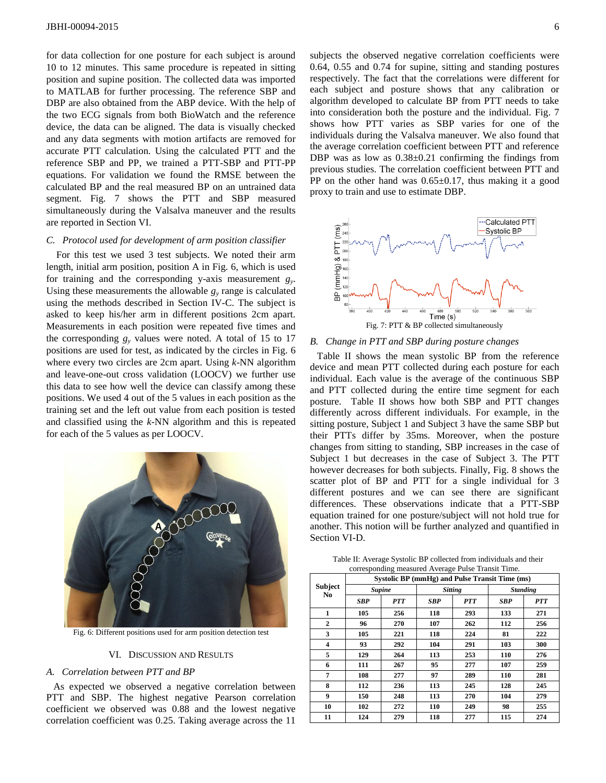for data collection for one posture for each subject is around 10 to 12 minutes. This same procedure is repeated in sitting position and supine position. The collected data was imported to MATLAB for further processing. The reference SBP and DBP are also obtained from the ABP device. With the help of the two ECG signals from both BioWatch and the reference device, the data can be aligned. The data is visually checked and any data segments with motion artifacts are removed for accurate PTT calculation. Using the calculated PTT and the reference SBP and PP, we trained a PTT-SBP and PTT-PP equations. For validation we found the RMSE between the calculated BP and the real measured BP on an untrained data segment. Fig. 7 shows the PTT and SBP measured simultaneously during the Valsalva maneuver and the results are reported in Section VI.

# *C. Protocol used for development of arm position classifier*

For this test we used 3 test subjects. We noted their arm length, initial arm position, position A in Fig. 6, which is used for training and the corresponding y-axis measurement *g<sup>y</sup>* . Using these measurements the allowable  $g_y$  range is calculated using the methods described in Section IV-C. The subject is asked to keep his/her arm in different positions 2cm apart. Measurements in each position were repeated five times and the corresponding  $g_y$  values were noted. A total of 15 to 17 positions are used for test, as indicated by the circles in Fig. 6 where every two circles are 2cm apart. Using *k*-NN algorithm and leave-one-out cross validation (LOOCV) we further use this data to see how well the device can classify among these positions. We used 4 out of the 5 values in each position as the training set and the left out value from each position is tested and classified using the *k*-NN algorithm and this is repeated for each of the 5 values as per LOOCV.



Fig. 6: Different positions used for arm position detection test

# VI. DISCUSSION AND RESULTS

#### *A. Correlation between PTT and BP*

As expected we observed a negative correlation between PTT and SBP. The highest negative Pearson correlation coefficient we observed was 0.88 and the lowest negative correlation coefficient was 0.25. Taking average across the 11

subjects the observed negative correlation coefficients were 0.64, 0.55 and 0.74 for supine, sitting and standing postures respectively. The fact that the correlations were different for each subject and posture shows that any calibration or algorithm developed to calculate BP from PTT needs to take into consideration both the posture and the individual. Fig. 7 shows how PTT varies as SBP varies for one of the individuals during the Valsalva maneuver. We also found that the average correlation coefficient between PTT and reference DBP was as low as  $0.38\pm0.21$  confirming the findings from previous studies. The correlation coefficient between PTT and PP on the other hand was  $0.65\pm0.17$ , thus making it a good proxy to train and use to estimate DBP.



## *B. Change in PTT and SBP during posture changes*

Table II shows the mean systolic BP from the reference device and mean PTT collected during each posture for each individual. Each value is the average of the continuous SBP and PTT collected during the entire time segment for each posture. Table II shows how both SBP and PTT changes differently across different individuals. For example, in the sitting posture, Subject 1 and Subject 3 have the same SBP but their PTTs differ by 35ms. Moreover, when the posture changes from sitting to standing, SBP increases in the case of Subject 1 but decreases in the case of Subject 3. The PTT however decreases for both subjects. Finally, Fig. 8 shows the scatter plot of BP and PTT for a single individual for 3 different postures and we can see there are significant differences. These observations indicate that a PTT-SBP equation trained for one posture/subject will not hold true for another. This notion will be further analyzed and quantified in Section VI-D.

| Table II: Average Systolic BP collected from individuals and their |  |
|--------------------------------------------------------------------|--|
| corresponding measured Average Pulse Transit Time.                 |  |

|                | Systolic BP (mmHg) and Pulse Transit Time (ms) |               |            |                |            |                 |  |
|----------------|------------------------------------------------|---------------|------------|----------------|------------|-----------------|--|
| <b>Subject</b> |                                                | <b>Supine</b> |            | <b>Sitting</b> |            | <b>Standing</b> |  |
| No             | SBP                                            | <b>PTT</b>    | <b>SBP</b> | <b>PTT</b>     | <b>SBP</b> | <b>PTT</b>      |  |
| 1              | 105                                            | 256           | 118        | 293            | 133        | 271             |  |
| $\mathbf{2}$   | 96                                             | 270           | 107        | 262            | 112        | 256             |  |
| 3              | 105                                            | 221           | 118        | 224            | 81         | 222             |  |
| 4              | 93                                             | 292           | 104        | 291            | 103        | 300             |  |
| 5              | 129                                            | 264           | 113        | 253            | 110        | 276             |  |
| 6              | 111                                            | 267           | 95         | 277            | 107        | 259             |  |
| 7              | 108                                            | 277           | 97         | 289            | 110        | 281             |  |
| 8              | 112                                            | 236           | 113        | 245            | 128        | 245             |  |
| 9              | 150                                            | 248           | 113        | 270            | 104        | 279             |  |
| 10             | 102                                            | 272           | 110        | 249            | 98         | 255             |  |
| 11             | 124                                            | 279           | 118        | 277            | 115        | 274             |  |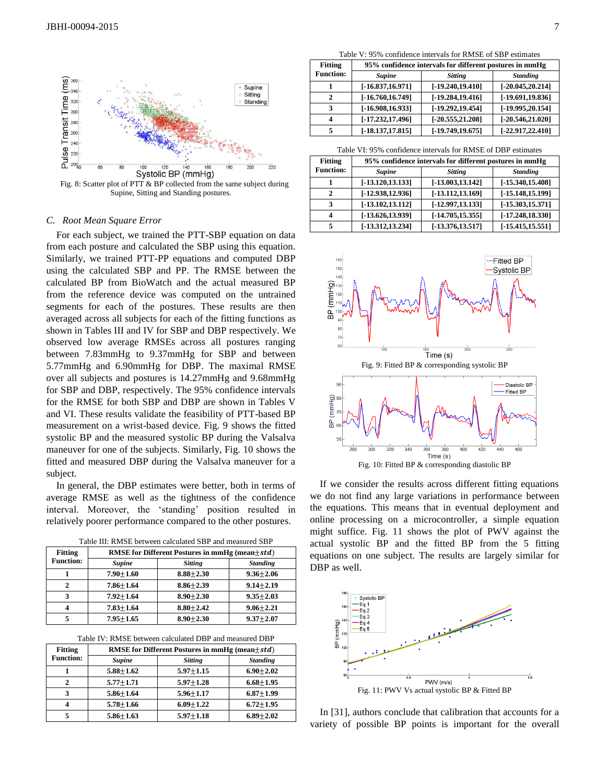

Fig. 8: Scatter plot of PTT & BP collected from the same subject during Supine, Sitting and Standing postures.

#### *C. Root Mean Square Error*

For each subject, we trained the PTT-SBP equation on data from each posture and calculated the SBP using this equation. Similarly, we trained PTT-PP equations and computed DBP using the calculated SBP and PP. The RMSE between the calculated BP from BioWatch and the actual measured BP from the reference device was computed on the untrained segments for each of the postures. These results are then averaged across all subjects for each of the fitting functions as shown in Tables III and IV for SBP and DBP respectively. We observed low average RMSEs across all postures ranging between 7.83mmHg to 9.37mmHg for SBP and between 5.77mmHg and 6.90mmHg for DBP. The maximal RMSE over all subjects and postures is 14.27mmHg and 9.68mmHg for SBP and DBP, respectively. The 95% confidence intervals for the RMSE for both SBP and DBP are shown in Tables V and VI. These results validate the feasibility of PTT-based BP measurement on a wrist-based device. Fig. 9 shows the fitted systolic BP and the measured systolic BP during the Valsalva maneuver for one of the subjects. Similarly, Fig. 10 shows the fitted and measured DBP during the Valsalva maneuver for a subject.

In general, the DBP estimates were better, both in terms of average RMSE as well as the tightness of the confidence interval. Moreover, the 'standing' position resulted in relatively poorer performance compared to the other postures.

Table III: RMSE between calculated SBP and measured SBP

| <b>Fitting</b>   | <b>RMSE</b> for Different Postures in mmHg (mean $\pm$ std) |                |                 |  |  |  |
|------------------|-------------------------------------------------------------|----------------|-----------------|--|--|--|
| <b>Function:</b> | <b>Supine</b>                                               | <b>Sitting</b> | <b>Standing</b> |  |  |  |
|                  | $7.90 + 1.60$                                               | $8.88 + 2.30$  | $9.36 + 2.06$   |  |  |  |
| 2                | $7.86 + 1.64$                                               | $8.86 + 2.39$  | $9.14 + 2.19$   |  |  |  |
| 3                | $7.92 + 1.64$                                               | $8.90 + 2.30$  | $9.35 + 2.03$   |  |  |  |
| 4                | $7.83 + 1.64$                                               | $8.80 + 2.42$  | $9.06 + 2.21$   |  |  |  |
|                  | $7.95 + 1.65$                                               | $8.90 + 2.30$  | $9.37 + 2.07$   |  |  |  |

| Table IV: RMSE between calculated DBP and measured DBP |  |  |
|--------------------------------------------------------|--|--|
|--------------------------------------------------------|--|--|

| <b>Fitting</b>   | <b>RMSE</b> for Different Postures in $mmHg$ (mean $\pm std$ ) |                |                 |  |  |
|------------------|----------------------------------------------------------------|----------------|-----------------|--|--|
| <b>Function:</b> | <b>Supine</b>                                                  | <b>Sitting</b> | <b>Standing</b> |  |  |
|                  | $5.88 + 1.62$                                                  | $5.97 + 1.15$  | $6.90 + 2.02$   |  |  |
| $\mathbf{2}$     | $5.77 + 1.71$                                                  | $5.97 + 1.28$  | $6.68 + 1.95$   |  |  |
| 3                | $5.86 + 1.64$                                                  | $5.96 + 1.17$  | $6.87 + 1.99$   |  |  |
| 4                | $5.78 + 1.66$                                                  | $6.09 + 1.22$  | $6.72 + 1.95$   |  |  |
|                  | $5.86 + 1.63$                                                  | $5.97 + 1.18$  | $6.89 + 2.02$   |  |  |

Table V: 95% confidence intervals for RMSE of SBP estimates

| <b>Fitting</b>   | 95% confidence intervals for different postures in mmHg |                     |                     |  |  |
|------------------|---------------------------------------------------------|---------------------|---------------------|--|--|
| <b>Function:</b> | <b>Supine</b>                                           | <b>Sitting</b>      | <b>Standing</b>     |  |  |
|                  | $[-16.837, 16.971]$                                     | $[-19.240, 19.410]$ | $[-20.045, 20.214]$ |  |  |
| 2                | $[-16.760, 16.749]$                                     | $[-19.284, 19.416]$ | $[-19.691, 19.836]$ |  |  |
| 3                | $[-16.908, 16.933]$                                     | $[-19.292, 19.454]$ | $[-19.995, 20.154]$ |  |  |
| 4                | $[-17.232, 17.496]$                                     | $[-20.555, 21.208]$ | $[-20.546, 21.020]$ |  |  |
| 5                | $[-18.137, 17.815]$                                     | $[-19.749, 19.675]$ | $[-22.917, 22.410]$ |  |  |

Table VI: 95% confidence intervals for RMSE of DBP estimates

| <b>Fitting</b>   | 95% confidence intervals for different postures in mmHg |                     |                       |  |  |
|------------------|---------------------------------------------------------|---------------------|-----------------------|--|--|
| <b>Function:</b> | <b>Supine</b>                                           | <b>Standing</b>     |                       |  |  |
|                  | $[-13.120, 13.133]$                                     | $[-13.003, 13.142]$ | $[-15.340, 15.408]$   |  |  |
|                  | $[-12.938, 12.936]$                                     | $[-13.112, 13.169]$ | $[-15.148, 15.199]$   |  |  |
| 3                | $[-13.102, 13.112]$                                     | $[-12.997, 13.133]$ | $[-15.303, 15.371]$   |  |  |
|                  | $[-13.626, 13.939]$                                     | $[-14.705, 15.355]$ | $[-17.248, 18.330]$   |  |  |
| 5                | $[-13.312, 13.234]$                                     | $[-13.376, 13.517]$ | $[-15, 415, 15, 551]$ |  |  |



Fig. 10: Fitted BP & corresponding diastolic BP

If we consider the results across different fitting equations we do not find any large variations in performance between the equations. This means that in eventual deployment and online processing on a microcontroller, a simple equation might suffice. Fig. 11 shows the plot of PWV against the actual systolic BP and the fitted BP from the 5 fitting equations on one subject. The results are largely similar for DBP as well.



In [31], authors conclude that calibration that accounts for a variety of possible BP points is important for the overall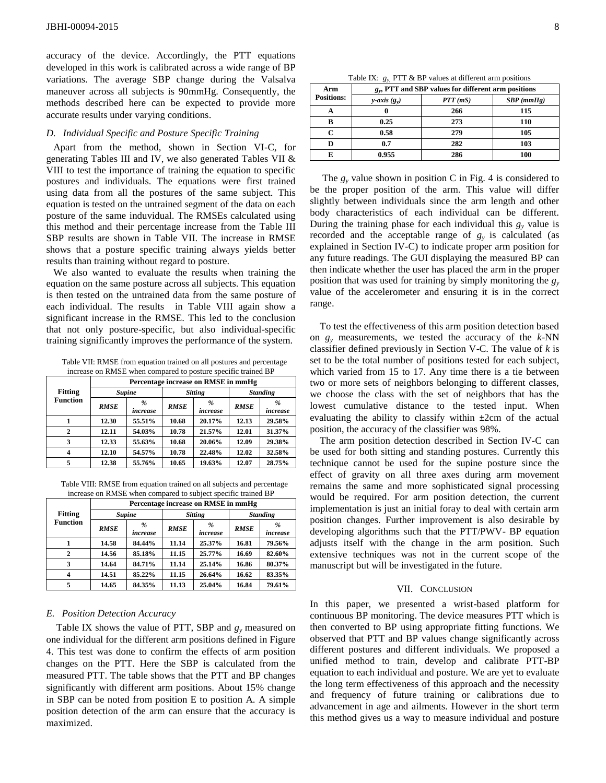accuracy of the device. Accordingly, the PTT equations developed in this work is calibrated across a wide range of BP variations. The average SBP change during the Valsalva maneuver across all subjects is 90mmHg. Consequently, the methods described here can be expected to provide more accurate results under varying conditions.

# *D. Individual Specific and Posture Specific Training*

Apart from the method, shown in Section VI-C, for generating Tables III and IV, we also generated Tables VII & VIII to test the importance of training the equation to specific postures and individuals. The equations were first trained using data from all the postures of the same subject. This equation is tested on the untrained segment of the data on each posture of the same induvidual. The RMSEs calculated using this method and their percentage increase from the Table III SBP results are shown in Table VII. The increase in RMSE shows that a posture specific training always yields better results than training without regard to posture.

We also wanted to evaluate the results when training the equation on the same posture across all subjects. This equation is then tested on the untrained data from the same posture of each individual. The results in Table VIII again show a significant increase in the RMSE. This led to the conclusion that not only posture-specific, but also individual-specific training significantly improves the performance of the system.

Table VII: RMSE from equation trained on all postures and percentage increase on RMSE when compared to posture specific trained BP

|                 | Percentage increase on RMSE in mmHg |                           |                |                           |                 |                  |
|-----------------|-------------------------------------|---------------------------|----------------|---------------------------|-----------------|------------------|
| <b>Fitting</b>  | <b>Supine</b>                       |                           | <b>Sitting</b> |                           | <b>Standing</b> |                  |
| <b>Function</b> | <b>RMSE</b>                         | $\frac{9}{6}$<br>increase | <b>RMSE</b>    | $\frac{9}{6}$<br>increase | <b>RMSE</b>     | $\%$<br>increase |
|                 | 12.30                               | 55.51%                    | 10.68          | 20.17%                    | 12.13           | 29.58%           |
| $\mathbf{2}$    | 12.11                               | 54.03%                    | 10.78          | 21.57%                    | 12.01           | 31.37%           |
| 3               | 12.33                               | 55.63%                    | 10.68          | 20.06%                    | 12.09           | 29.38%           |
| 4               | 12.10                               | 54.57%                    | 10.78          | 22.48%                    | 12.02           | 32.58%           |
| 5               | 12.38                               | 55.76%                    | 10.65          | 19.63%                    | 12.07           | 28.75%           |

Table VIII: RMSE from equation trained on all subjects and percentage increase on RMSE when compared to subject specific trained BP

|                 | Percentage increase on RMSE in mmHg |                           |                |                           |                 |                           |
|-----------------|-------------------------------------|---------------------------|----------------|---------------------------|-----------------|---------------------------|
| <b>Fitting</b>  | <b>Supine</b>                       |                           | <b>Sitting</b> |                           | <b>Standing</b> |                           |
| <b>Function</b> | <b>RMSE</b>                         | $\frac{9}{6}$<br>increase | <b>RMSE</b>    | $\frac{9}{6}$<br>increase | <b>RMSE</b>     | $\frac{9}{6}$<br>increase |
|                 | 14.58                               | 84.44%                    | 11.14          | 25.37%                    | 16.81           | 79.56%                    |
| $\mathbf{2}$    | 14.56                               | 85.18%                    | 11.15          | 25.77%                    | 16.69           | 82.60%                    |
| 3               | 14.64                               | 84.71%                    | 11.14          | 25.14%                    | 16.86           | 80.37%                    |
| 4               | 14.51                               | 85.22%                    | 11.15          | 26.64%                    | 16.62           | 83.35%                    |
| 5               | 14.65                               | 84.35%                    | 11.13          | 25.04%                    | 16.84           | 79.61%                    |

## *E. Position Detection Accuracy*

Table IX shows the value of PTT, SBP and *g<sup>y</sup>* measured on one individual for the different arm positions defined in Figure 4. This test was done to confirm the effects of arm position changes on the PTT. Here the SBP is calculated from the measured PTT. The table shows that the PTT and BP changes significantly with different arm positions. About 15% change in SBP can be noted from position E to position A. A simple position detection of the arm can ensure that the accuracy is maximized.

| Arm               | $g_{v}$ , PTT and SBP values for different arm positions |            |              |  |  |
|-------------------|----------------------------------------------------------|------------|--------------|--|--|
| <b>Positions:</b> | y-axis $(g_v)$                                           | $PTT$ (mS) | $SBP$ (mmHg) |  |  |
| А                 |                                                          | 266        | 115          |  |  |
| B                 | 0.25                                                     | 273        | 110          |  |  |
| C                 | 0.58                                                     | 279        | 105          |  |  |
|                   | 0.7                                                      | 282        | 103          |  |  |
|                   | 0.955                                                    | 286        | 100          |  |  |

The  $g_y$  value shown in position C in Fig. 4 is considered to be the proper position of the arm. This value will differ slightly between individuals since the arm length and other body characteristics of each individual can be different. During the training phase for each individual this  $g_y$  value is recorded and the acceptable range of  $g_y$  is calculated (as explained in Section IV-C) to indicate proper arm position for any future readings. The GUI displaying the measured BP can then indicate whether the user has placed the arm in the proper position that was used for training by simply monitoring the *g<sup>y</sup>* value of the accelerometer and ensuring it is in the correct range.

To test the effectiveness of this arm position detection based on  $g_y$  measurements, we tested the accuracy of the  $k$ -NN classifier defined previously in Section V-C. The value of *k* is set to be the total number of positions tested for each subject, which varied from 15 to 17. Any time there is a tie between two or more sets of neighbors belonging to different classes, we choose the class with the set of neighbors that has the lowest cumulative distance to the tested input. When evaluating the ability to classify within ±2cm of the actual position, the accuracy of the classifier was 98%.

The arm position detection described in Section IV-C can be used for both sitting and standing postures. Currently this technique cannot be used for the supine posture since the effect of gravity on all three axes during arm movement remains the same and more sophisticated signal processing would be required. For arm position detection, the current implementation is just an initial foray to deal with certain arm position changes. Further improvement is also desirable by developing algorithms such that the PTT/PWV- BP equation adjusts itself with the change in the arm position. Such extensive techniques was not in the current scope of the manuscript but will be investigated in the future.

#### VII. CONCLUSION

In this paper, we presented a wrist-based platform for continuous BP monitoring. The device measures PTT which is then converted to BP using appropriate fitting functions. We observed that PTT and BP values change significantly across different postures and different individuals. We proposed a unified method to train, develop and calibrate PTT-BP equation to each individual and posture. We are yet to evaluate the long term effectiveness of this approach and the necessity and frequency of future training or calibrations due to advancement in age and ailments. However in the short term this method gives us a way to measure individual and posture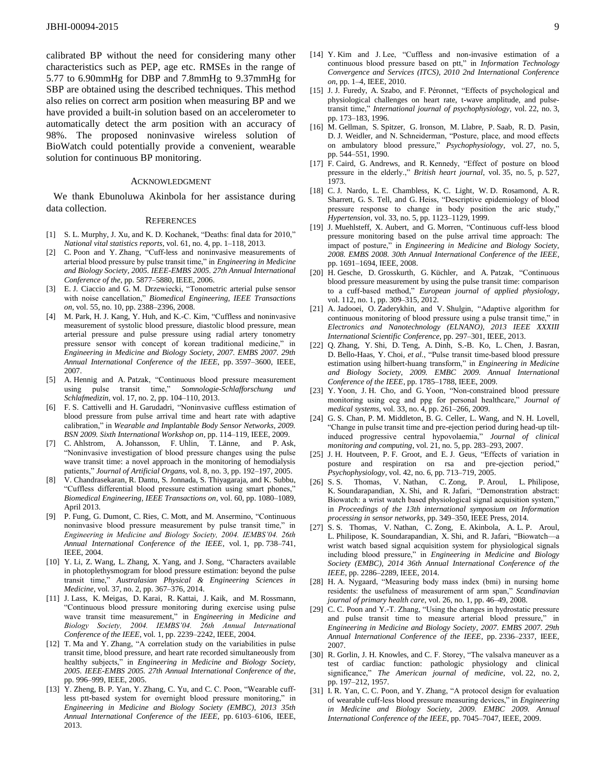calibrated BP without the need for considering many other characteristics such as PEP, age etc. RMSEs in the range of 5.77 to 6.90mmHg for DBP and 7.8mmHg to 9.37mmHg for SBP are obtained using the described techniques. This method also relies on correct arm position when measuring BP and we have provided a built-in solution based on an accelerometer to automatically detect the arm position with an accuracy of 98%. The proposed noninvasive wireless solution of BioWatch could potentially provide a convenient, wearable solution for continuous BP monitoring.

#### ACKNOWLEDGMENT

We thank Ebunoluwa Akinbola for her assistance during data collection.

#### **REFERENCES**

- [1] S. L. Murphy, J. Xu, and K. D. Kochanek, "Deaths: final data for 2010," *National vital statistics reports*, vol. 61, no. 4, pp. 1–118, 2013.
- [2] C. Poon and Y. Zhang, "Cuff-less and noninvasive measurements of arterial blood pressure by pulse transit time," in *Engineering in Medicine and Biology Society, 2005. IEEE-EMBS 2005. 27th Annual International Conference of the*, pp. 5877–5880, IEEE, 2006.
- [3] E. J. Ciaccio and G. M. Drzewiecki, "Tonometric arterial pulse sensor with noise cancellation," *Biomedical Engineering, IEEE Transactions on*, vol. 55, no. 10, pp. 2388–2396, 2008.
- [4] M. Park, H. J. Kang, Y. Huh, and K.-C. Kim, "Cuffless and noninvasive measurement of systolic blood pressure, diastolic blood pressure, mean arterial pressure and pulse pressure using radial artery tonometry pressure sensor with concept of korean traditional medicine," in *Engineering in Medicine and Biology Society, 2007. EMBS 2007. 29th Annual International Conference of the IEEE*, pp. 3597–3600, IEEE, 2007.
- [5] A. Hennig and A. Patzak, "Continuous blood pressure measurement using pulse transit time," *Somnologie-Schlafforschung und Schlafmedizin*, vol. 17, no. 2, pp. 104–110, 2013.
- [6] F. S. Cattivelli and H. Garudadri, "Noninvasive cuffless estimation of blood pressure from pulse arrival time and heart rate with adaptive calibration," in *Wearable and Implantable Body Sensor Networks, 2009. BSN 2009. Sixth International Workshop on*, pp. 114–119, IEEE, 2009.
- [7] C. Ahlstrom, A. Johansson, F. Uhlin, T. Länne, and P. Ask, "Noninvasive investigation of blood pressure changes using the pulse wave transit time: a novel approach in the monitoring of hemodialysis patients," *Journal of Artificial Organs*, vol. 8, no. 3, pp. 192–197, 2005.
- [8] V. Chandrasekaran, R. Dantu, S. Jonnada, S. Thiyagaraja, and K. Subbu, "Cuffless differential blood pressure estimation using smart phones," *Biomedical Engineering, IEEE Transactions on*, vol. 60, pp. 1080–1089, April 2013.
- [9] P. Fung, G. Dumont, C. Ries, C. Mott, and M. Ansermino, "Continuous noninvasive blood pressure measurement by pulse transit time," in *Engineering in Medicine and Biology Society, 2004. IEMBS'04. 26th Annual International Conference of the IEEE*, vol. 1, pp. 738–741, IEEE, 2004.
- [10] Y. Li, Z. Wang, L. Zhang, X. Yang, and J. Song, "Characters available in photoplethysmogram for blood pressure estimation: beyond the pulse transit time," *Australasian Physical & Engineering Sciences in Medicine*, vol. 37, no. 2, pp. 367–376, 2014.
- [11] J. Lass, K. Meigas, D. Karai, R. Kattai, J. Kaik, and M. Rossmann, "Continuous blood pressure monitoring during exercise using pulse wave transit time measurement," in *Engineering in Medicine and Biology Society, 2004. IEMBS'04. 26th Annual International Conference of the IEEE*, vol. 1, pp. 2239–2242, IEEE, 2004.
- [12] T. Ma and Y. Zhang, "A correlation study on the variabilities in pulse transit time, blood pressure, and heart rate recorded simultaneously from healthy subjects," in *Engineering in Medicine and Biology Society, 2005. IEEE-EMBS 2005. 27th Annual International Conference of the*, pp. 996–999, IEEE, 2005.
- [13] Y. Zheng, B. P. Yan, Y. Zhang, C. Yu, and C. C. Poon, "Wearable cuffless ptt-based system for overnight blood pressure monitoring," in *Engineering in Medicine and Biology Society (EMBC), 2013 35th Annual International Conference of the IEEE*, pp. 6103–6106, IEEE, 2013.
- [14] Y. Kim and J. Lee, "Cuffless and non-invasive estimation of a continuous blood pressure based on ptt," in *Information Technology Convergence and Services (ITCS), 2010 2nd International Conference on*, pp. 1–4, IEEE, 2010.
- [15] J. J. Furedy, A. Szabo, and F. Péronnet, "Effects of psychological and physiological challenges on heart rate, t-wave amplitude, and pulsetransit time," *International journal of psychophysiology*, vol. 22, no. 3, pp. 173–183, 1996.
- [16] M. Gellman, S. Spitzer, G. Ironson, M. Llabre, P. Saab, R. D. Pasin, D. J. Weidler, and N. Schneiderman, "Posture, place, and mood effects on ambulatory blood pressure," *Psychophysiology*, vol. 27, no. 5, pp. 544–551, 1990.
- [17] F. Caird, G. Andrews, and R. Kennedy, "Effect of posture on blood pressure in the elderly.," *British heart journal*, vol. 35, no. 5, p. 527, 1973.
- [18] C. J. Nardo, L. E. Chambless, K. C. Light, W. D. Rosamond, A. R. Sharrett, G. S. Tell, and G. Heiss, "Descriptive epidemiology of blood pressure response to change in body position the aric study," *Hypertension*, vol. 33, no. 5, pp. 1123–1129, 1999.
- [19] J. Muehlsteff, X. Aubert, and G. Morren, "Continuous cuff-less blood pressure monitoring based on the pulse arrival time approach: The impact of posture," in *Engineering in Medicine and Biology Society, 2008. EMBS 2008. 30th Annual International Conference of the IEEE*, pp. 1691–1694, IEEE, 2008.
- [20] H. Gesche, D. Grosskurth, G. Küchler, and A. Patzak, "Continuous blood pressure measurement by using the pulse transit time: comparison to a cuff-based method," *European journal of applied physiology*, vol. 112, no. 1, pp. 309–315, 2012.
- [21] A. Jadooei, O. Zaderykhin, and V. Shulgin, "Adaptive algorithm for continuous monitoring of blood pressure using a pulse transit time," in *Electronics and Nanotechnology (ELNANO), 2013 IEEE XXXIII International Scientific Conference*, pp. 297–301, IEEE, 2013.
- [22] Q. Zhang, Y. Shi, D. Teng, A. Dinh, S.-B. Ko, L. Chen, J. Basran, D. Bello-Haas, Y. Choi, *et al.*, "Pulse transit time-based blood pressure estimation using hilbert-huang transform," in *Engineering in Medicine and Biology Society, 2009. EMBC 2009. Annual International Conference of the IEEE*, pp. 1785–1788, IEEE, 2009.
- [23] Y. Yoon, J. H. Cho, and G. Yoon, "Non-constrained blood pressure monitoring using ecg and ppg for personal healthcare," *Journal of medical systems*, vol. 33, no. 4, pp. 261–266, 2009.
- [24] G. S. Chan, P. M. Middleton, B. G. Celler, L. Wang, and N. H. Lovell, "Change in pulse transit time and pre-ejection period during head-up tiltinduced progressive central hypovolaemia," *Journal of clinical monitoring and computing*, vol. 21, no. 5, pp. 283–293, 2007.
- [25] J. H. Houtveen, P. F. Groot, and E. J. Geus, "Effects of variation in posture and respiration on rsa and pre-ejection period," *Psychophysiology*, vol. 42, no. 6, pp. 713–719, 2005.
- [26] S. S. Thomas, V. Nathan, C. Zong, P. Aroul, L. Philipose, K. Soundarapandian, X. Shi, and R. Jafari, "Demonstration abstract: Biowatch: a wrist watch based physiological signal acquisition system," in *Proceedings of the 13th international symposium on Information processing in sensor networks*, pp. 349–350, IEEE Press, 2014.
- [27] S. S. Thomas, V. Nathan, C. Zong, E. Akinbola, A. L. P. Aroul, L. Philipose, K. Soundarapandian, X. Shi, and R. Jafari, "Biowatch—a wrist watch based signal acquisition system for physiological signals including blood pressure," in *Engineering in Medicine and Biology Society (EMBC), 2014 36th Annual International Conference of the IEEE*, pp. 2286–2289, IEEE, 2014.
- [28] H. A. Nygaard, "Measuring body mass index (bmi) in nursing home residents: the usefulness of measurement of arm span," *Scandinavian journal of primary health care*, vol. 26, no. 1, pp. 46–49, 2008.
- [29] C. C. Poon and Y.-T. Zhang, "Using the changes in hydrostatic pressure and pulse transit time to measure arterial blood pressure," in *Engineering in Medicine and Biology Society, 2007. EMBS 2007. 29th Annual International Conference of the IEEE*, pp. 2336–2337, IEEE, 2007.
- [30] R. Gorlin, J. H. Knowles, and C. F. Storey, "The valsalva maneuver as a test of cardiac function: pathologic physiology and clinical significance," *The American journal of medicine*, vol. 22, no. 2, pp. 197–212, 1957.
- [31] I. R. Yan, C. C. Poon, and Y. Zhang, "A protocol design for evaluation of wearable cuff-less blood pressure measuring devices," in *Engineering in Medicine and Biology Society, 2009. EMBC 2009. Annual International Conference of the IEEE*, pp. 7045–7047, IEEE, 2009.